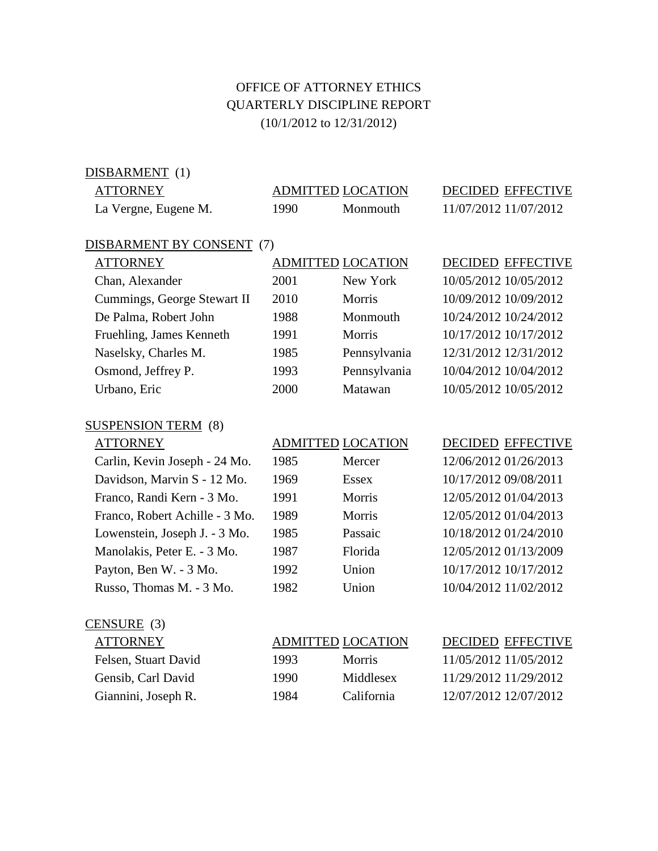## OFFICE OF ATTORNEY ETHICS QUARTERLY DISCIPLINE REPORT (10/1/2012 to 12/31/2012)

DISBARMENT (1)

| <b>ATTORNEY</b>           |      | <b>ADMITTED LOCATION</b> | <b>DECIDED EFFECTIVE</b> |
|---------------------------|------|--------------------------|--------------------------|
| La Vergne, Eugene M.      | 1990 | Monmouth                 | 11/07/2012 11/07/2012    |
| DISBARMENT BY CONSENT (7) |      |                          |                          |

## ATTORNEY ADMITTED LOCATION DECIDED EFFECTIVE Chan, Alexander 2001 New York 10/05/2012 10/05/2012 Cummings, George Stewart II 2010 Morris 10/09/2012 10/09/2012 De Palma, Robert John 1988 Monmouth 10/24/2012 10/24/2012 Fruehling, James Kenneth 1991 Morris 10/17/2012 10/17/2012 Naselsky, Charles M. 1985 Pennsylvania 12/31/2012 12/31/2012

 Osmond, Jeffrey P. 1993 Pennsylvania 10/04/2012 10/04/2012 Urbano, Eric 2000 Matawan 10/05/2012 10/05/2012

## SUSPENSION TERM (8)

| Carlin, Kevin Joseph - 24 Mo.  |
|--------------------------------|
| Davidson, Marvin S - 12 Mo.    |
| Franco, Randi Kern - 3 Mo.     |
| Franco, Robert Achille - 3 Mo. |
| Lowenstein, Joseph J. - 3 Mo.  |
| Manolakis, Peter E. - 3 Mo.    |
| Payton, Ben W. - 3 Mo.         |
| Russo, Thomas M. - 3 Mo.       |

## 1985 Mercer 12/06/2012 01/26/2013

| 1969 | <b>Essex</b> | 10/17/2012 09/08/2011 |
|------|--------------|-----------------------|
| 1991 | Morris       | 12/05/2012 01/04/2013 |
| 1989 | Morris       | 12/05/2012 01/04/2013 |
| 1985 | Passaic      | 10/18/2012 01/24/2010 |
| 1987 | Florida      | 12/05/2012 01/13/2009 |
| 1992 | Union        | 10/17/2012 10/17/2012 |
| 1982 | Union        | 10/04/2012 11/02/2012 |
|      |              |                       |

## ATTORNEY ADMITTED LOCATION DECIDED EFFECTIVE 1969 Essex 10/17/2012 09/08/2011 1991 Morris 12/05/2012 01/04/2013 1989 Morris 12/05/2012 01/04/2013 1985 Passaic 10/18/2012 01/24/2010 1987 Florida 12/05/2012 01/13/2009

1982 Union 10/04/2012 11/02/2012

## CENSURE (3)

| ATIORNEY             |  |
|----------------------|--|
| Felsen, Stuart David |  |
| Gensib, Carl David   |  |

## ADMITTED LOCATION DECIDED EFFECTIVE 1993 Morris 11/05/2012 11/05/2012 1990 Middlesex 11/29/2012 11/29/2012

Giannini, Joseph R. 1984 California 12/07/2012 12/07/2012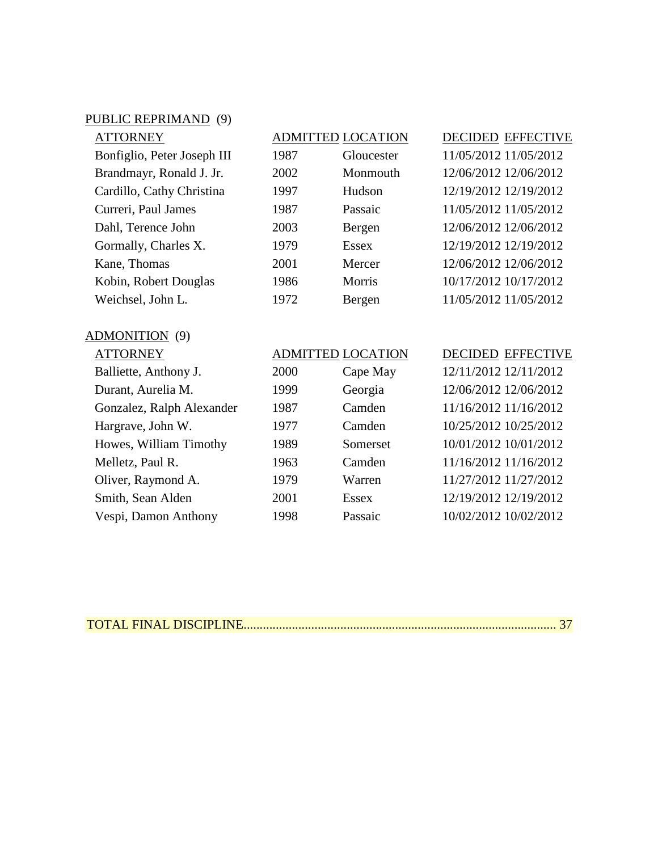## PUBLIC REPRIMAND (9)

| <b>ATTORNEY</b>             |
|-----------------------------|
| Bonfiglio, Peter Joseph III |
| Brandmayr, Ronald J. Jr.    |
| Cardillo, Cathy Christina   |
| Curreri, Paul James         |
| Dahl, Terence John          |
| Gormally, Charles X.        |
| Kane, Thomas                |
| Kobin, Robert Douglas       |
| Weichsel, John L.           |

# 1987 Gloucester 11/05/2012 11/05/2012

| 2002 | Monmouth     | 12/06/2012 12/06/2012 |
|------|--------------|-----------------------|
| 1997 | Hudson       | 12/19/2012 12/19/2012 |
| 1987 | Passaic      | 11/05/2012 11/05/2012 |
| 2003 | Bergen       | 12/06/2012 12/06/2012 |
| 1979 | <b>Essex</b> | 12/19/2012 12/19/2012 |
| 2001 | Mercer       | 12/06/2012 12/06/2012 |
| 1986 | Morris       | 10/17/2012 10/17/2012 |
| 1972 | Bergen       | 11/05/2012 11/05/2012 |

## ADMITTED LOCATION DECIDED EFFECTIVE

2002 Monmouth 12/06/2012 12/06/2012 1972 Bergen 11/05/2012 11/05/2012

### ADMONITION (9)

| ATTORNEY                  |      | <b>ADMITTED LOCATION</b> | DECII   |
|---------------------------|------|--------------------------|---------|
| Balliette, Anthony J.     | 2000 | Cape May                 | 12/11/  |
| Durant, Aurelia M.        | 1999 | Georgia                  | 12/06/  |
| Gonzalez, Ralph Alexander | 1987 | Camden                   | 11/16/2 |
| Hargrave, John W.         | 1977 | Camden                   | 10/25/2 |
| Howes, William Timothy    | 1989 | Somerset                 | 10/01/  |
| Melletz, Paul R.          | 1963 | Camden                   | 11/16/  |
| Oliver, Raymond A.        | 1979 | Warren                   | 11/27/2 |
| Smith, Sean Alden         | 2001 | <b>Essex</b>             | 12/19/2 |
| Vespi, Damon Anthony      | 1998 | Passaic                  | 10/02/  |

## DED EFFECTIVE

Ball 2012 12/11/2012  $2012$  12/06/2012  $\sqrt{2012}$  11/16/2012 Hargrave, John W. 1977 Camden 10/25/2012 10/25/2012  $(2012\ 10/01/2012)$ /2012 11/16/2012 Oliver, Raymond A. 1979 Warren 11/27/2012 11/27/2012  $\sqrt{2012}$  12/19/2012 2012 10/02/2012

|--|--|--|